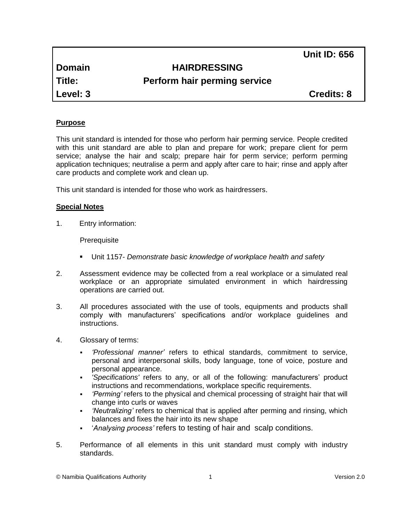**Unit ID: 656**

## **Domain HAIRDRESSING**

# **Title: Perform hair perming service**

**Level: 3 Credits: 8**

## **Purpose**

This unit standard is intended for those who perform hair perming service. People credited with this unit standard are able to plan and prepare for work; prepare client for perm service; analyse the hair and scalp; prepare hair for perm service; perform perming application techniques; neutralise a perm and apply after care to hair; rinse and apply after care products and complete work and clean up.

This unit standard is intended for those who work as hairdressers.

## **Special Notes**

1. Entry information:

**Prerequisite** 

- Unit 1157- *Demonstrate basic knowledge of workplace health and safety*
- 2. Assessment evidence may be collected from a real workplace or a simulated real workplace or an appropriate simulated environment in which hairdressing operations are carried out.
- 3. All procedures associated with the use of tools, equipments and products shall comply with manufacturers' specifications and/or workplace guidelines and instructions.
- 4. Glossary of terms:
	- *'Professional manner'* refers to ethical standards, commitment to service, personal and interpersonal skills, body language, tone of voice, posture and personal appearance.
	- *'Specifications'* refers to any, or all of the following: manufacturers' product instructions and recommendations, workplace specific requirements.
	- *'Perming'* refers to the physical and chemical processing of straight hair that will change into curls or waves
	- *'Neutralizing'* refers to chemical that is applied after perming and rinsing, which balances and fixes the hair into its new shape
	- '*Analysing process'* refers to testing of hair and scalp conditions.
- 5. Performance of all elements in this unit standard must comply with industry standards.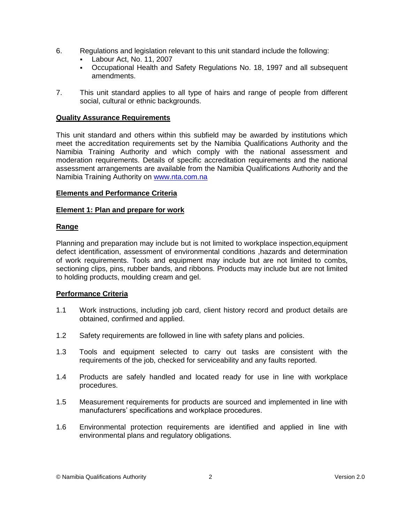- 6. Regulations and legislation relevant to this unit standard include the following:
	- Labour Act, No. 11, 2007
	- Occupational Health and Safety Regulations No. 18, 1997 and all subsequent amendments.
- 7. This unit standard applies to all type of hairs and range of people from different social, cultural or ethnic backgrounds.

## **Quality Assurance Requirements**

This unit standard and others within this subfield may be awarded by institutions which meet the accreditation requirements set by the Namibia Qualifications Authority and the Namibia Training Authority and which comply with the national assessment and moderation requirements. Details of specific accreditation requirements and the national assessment arrangements are available from the Namibia Qualifications Authority and the Namibia Training Authority on [www.nta.com.na](http://www.nta.com.na/)

## **Elements and Performance Criteria**

## **Element 1: Plan and prepare for work**

## **Range**

Planning and preparation may include but is not limited to workplace inspection,equipment defect identification, assessment of environmental conditions ,hazards and determination of work requirements. Tools and equipment may include but are not limited to combs, sectioning clips, pins, rubber bands, and ribbons. Products may include but are not limited to holding products, moulding cream and gel.

#### **Performance Criteria**

- 1.1 Work instructions, including job card, client history record and product details are obtained, confirmed and applied.
- 1.2 Safety requirements are followed in line with safety plans and policies.
- 1.3 Tools and equipment selected to carry out tasks are consistent with the requirements of the job, checked for serviceability and any faults reported.
- 1.4 Products are safely handled and located ready for use in line with workplace procedures.
- 1.5 Measurement requirements for products are sourced and implemented in line with manufacturers' specifications and workplace procedures.
- 1.6 Environmental protection requirements are identified and applied in line with environmental plans and regulatory obligations.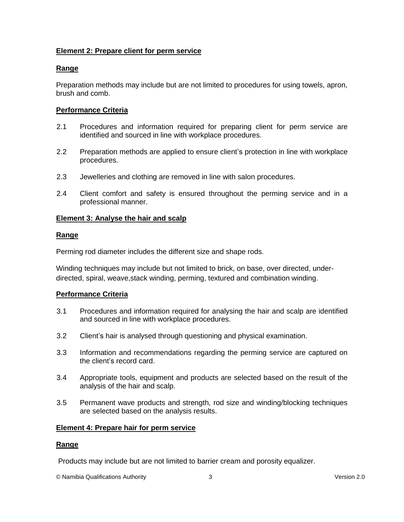## **Element 2: Prepare client for perm service**

## **Range**

Preparation methods may include but are not limited to procedures for using towels, apron, brush and comb.

## **Performance Criteria**

- 2.1 Procedures and information required for preparing client for perm service are identified and sourced in line with workplace procedures.
- 2.2 Preparation methods are applied to ensure client's protection in line with workplace procedures.
- 2.3 Jewelleries and clothing are removed in line with salon procedures.
- 2.4 Client comfort and safety is ensured throughout the perming service and in a professional manner.

#### **Element 3: Analyse the hair and scalp**

## **Range**

Perming rod diameter includes the different size and shape rods.

Winding techniques may include but not limited to brick, on base, over directed, underdirected, spiral, weave,stack winding, perming, textured and combination winding.

#### **Performance Criteria**

- 3.1 Procedures and information required for analysing the hair and scalp are identified and sourced in line with workplace procedures.
- 3.2 Client's hair is analysed through questioning and physical examination.
- 3.3 Information and recommendations regarding the perming service are captured on the client's record card.
- 3.4 Appropriate tools, equipment and products are selected based on the result of the analysis of the hair and scalp.
- 3.5 Permanent wave products and strength, rod size and winding/blocking techniques are selected based on the analysis results.

#### **Element 4: Prepare hair for perm service**

#### **Range**

Products may include but are not limited to barrier cream and porosity equalizer.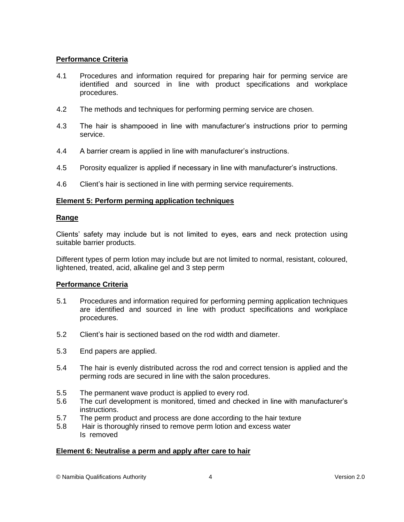## **Performance Criteria**

- 4.1 Procedures and information required for preparing hair for perming service are identified and sourced in line with product specifications and workplace procedures.
- 4.2 The methods and techniques for performing perming service are chosen.
- 4.3 The hair is shampooed in line with manufacturer's instructions prior to perming service.
- 4.4 A barrier cream is applied in line with manufacturer's instructions.
- 4.5 Porosity equalizer is applied if necessary in line with manufacturer's instructions.
- 4.6 Client's hair is sectioned in line with perming service requirements.

## **Element 5: Perform perming application techniques**

#### **Range**

Clients' safety may include but is not limited to eyes, ears and neck protection using suitable barrier products.

Different types of perm lotion may include but are not limited to normal, resistant, coloured, lightened, treated, acid, alkaline gel and 3 step perm

#### **Performance Criteria**

- 5.1 Procedures and information required for performing perming application techniques are identified and sourced in line with product specifications and workplace procedures.
- 5.2 Client's hair is sectioned based on the rod width and diameter.
- 5.3 End papers are applied.
- 5.4 The hair is evenly distributed across the rod and correct tension is applied and the perming rods are secured in line with the salon procedures.
- 5.5 The permanent wave product is applied to every rod.
- 5.6 The curl development is monitored, timed and checked in line with manufacturer's instructions.
- 5.7 The perm product and process are done according to the hair texture
- 5.8 Hair is thoroughly rinsed to remove perm lotion and excess water Is removed

#### **Element 6: Neutralise a perm and apply after care to hair**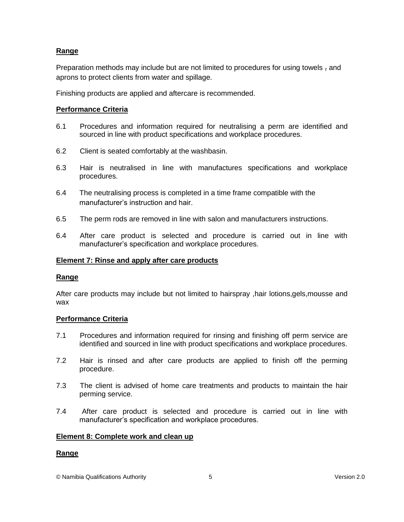## **Range**

Preparation methods may include but are not limited to procedures for using towels, and aprons to protect clients from water and spillage.

Finishing products are applied and aftercare is recommended.

### **Performance Criteria**

- 6.1 Procedures and information required for neutralising a perm are identified and sourced in line with product specifications and workplace procedures.
- 6.2 Client is seated comfortably at the washbasin.
- 6.3 Hair is neutralised in line with manufactures specifications and workplace procedures.
- 6.4 The neutralising process is completed in a time frame compatible with the manufacturer's instruction and hair.
- 6.5 The perm rods are removed in line with salon and manufacturers instructions.
- 6.4 After care product is selected and procedure is carried out in line with manufacturer's specification and workplace procedures.

### **Element 7: Rinse and apply after care products**

#### **Range**

After care products may include but not limited to hairspray ,hair lotions,gels,mousse and wax

#### **Performance Criteria**

- 7.1 Procedures and information required for rinsing and finishing off perm service are identified and sourced in line with product specifications and workplace procedures.
- 7.2 Hair is rinsed and after care products are applied to finish off the perming procedure.
- 7.3 The client is advised of home care treatments and products to maintain the hair perming service.
- 7.4 After care product is selected and procedure is carried out in line with manufacturer's specification and workplace procedures.

#### **Element 8: Complete work and clean up**

## **Range**